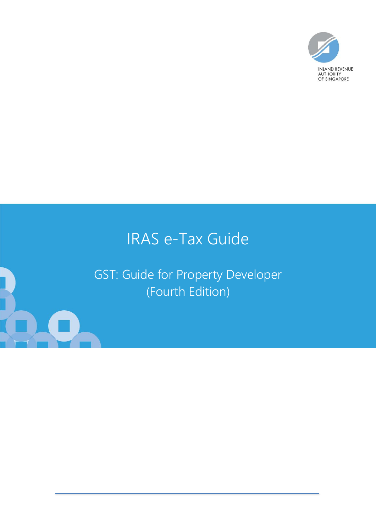

# IRAS e-Tax Guide

GST: Guide for Property Developer (Fourth Edition)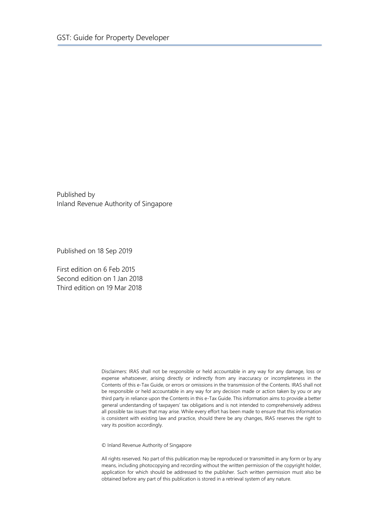Published by Inland Revenue Authority of Singapore

Published on 18 Sep 2019

First edition on 6 Feb 2015 Second edition on 1 Jan 2018 Third edition on 19 Mar 2018

> Disclaimers: IRAS shall not be responsible or held accountable in any way for any damage, loss or expense whatsoever, arising directly or indirectly from any inaccuracy or incompleteness in the Contents of this e-Tax Guide, or errors or omissions in the transmission of the Contents. IRAS shall not be responsible or held accountable in any way for any decision made or action taken by you or any third party in reliance upon the Contents in this e-Tax Guide. This information aims to provide a better general understanding of taxpayers' tax obligations and is not intended to comprehensively address all possible tax issues that may arise. While every effort has been made to ensure that this information is consistent with existing law and practice, should there be any changes, IRAS reserves the right to vary its position accordingly.

© Inland Revenue Authority of Singapore

All rights reserved. No part of this publication may be reproduced or transmitted in any form or by any means, including photocopying and recording without the written permission of the copyright holder, application for which should be addressed to the publisher. Such written permission must also be obtained before any part of this publication is stored in a retrieval system of any nature.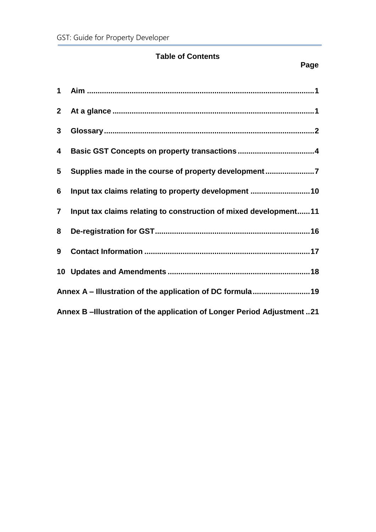# **Table of Contents**

| $1 \quad$      |                                                                       |
|----------------|-----------------------------------------------------------------------|
| 2 <sub>2</sub> |                                                                       |
| $3\phantom{a}$ |                                                                       |
| 4              |                                                                       |
| 5              | Supplies made in the course of property development7                  |
| 6              | Input tax claims relating to property development 10                  |
| $\overline{7}$ | Input tax claims relating to construction of mixed development11      |
| 8              |                                                                       |
| 9              |                                                                       |
|                |                                                                       |
|                | Annex A - Illustration of the application of DC formula 19            |
|                | Annex B-Illustration of the application of Longer Period Adjustment21 |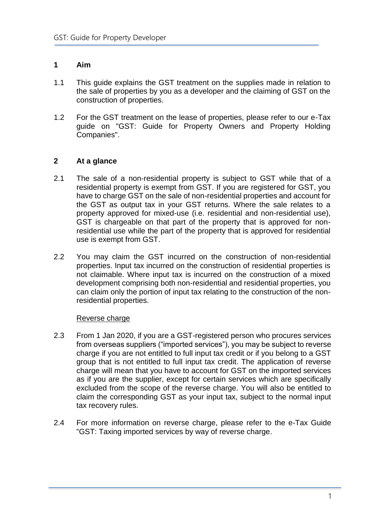# <span id="page-3-0"></span>**1 Aim**

- 1.1 This guide explains the GST treatment on the supplies made in relation to the sale of properties by you as a developer and the claiming of GST on the construction of properties.
- 1.2 For the GST treatment on the lease of properties, please refer to our e-Tax guide on "GST: Guide for Property Owners and Property Holding Companies".

# <span id="page-3-1"></span>**2 At a glance**

- 2.1 The sale of a non-residential property is subject to GST while that of a residential property is exempt from GST. If you are registered for GST, you have to charge GST on the sale of non-residential properties and account for the GST as output tax in your GST returns. Where the sale relates to a property approved for mixed-use (i.e. residential and non-residential use), GST is chargeable on that part of the property that is approved for nonresidential use while the part of the property that is approved for residential use is exempt from GST.
- 2.2 You may claim the GST incurred on the construction of non-residential properties. Input tax incurred on the construction of residential properties is not claimable. Where input tax is incurred on the construction of a mixed development comprising both non-residential and residential properties, you can claim only the portion of input tax relating to the construction of the nonresidential properties.

#### Reverse charge

- 2.3 From 1 Jan 2020, if you are a GST-registered person who procures services from overseas suppliers ("imported services"), you may be subject to reverse charge if you are not entitled to full input tax credit or if you belong to a GST group that is not entitled to full input tax credit. The application of reverse charge will mean that you have to account for GST on the imported services as if you are the supplier, except for certain services which are specifically excluded from the scope of the reverse charge. You will also be entitled to claim the corresponding GST as your input tax, subject to the normal input tax recovery rules.
- 2.4 For more information on reverse charge, please refer to the e-Tax Guide "GST: Taxing imported services by way of reverse charge.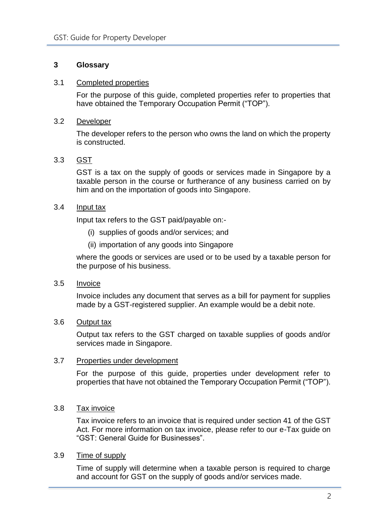# <span id="page-4-0"></span>**3 Glossary**

#### 3.1 Completed properties

For the purpose of this guide, completed properties refer to properties that have obtained the Temporary Occupation Permit ("TOP").

#### 3.2 Developer

The developer refers to the person who owns the land on which the property is constructed.

# 3.3 GST

GST is a tax on the supply of goods or services made in Singapore by a taxable person in the course or furtherance of any business carried on by him and on the importation of goods into Singapore.

#### 3.4 Input tax

Input tax refers to the GST paid/payable on:-

- (i) supplies of goods and/or services; and
- (ii) importation of any goods into Singapore

where the goods or services are used or to be used by a taxable person for the purpose of his business.

#### 3.5 Invoice

Invoice includes any document that serves as a bill for payment for supplies made by a GST-registered supplier. An example would be a debit note.

#### 3.6 Output tax

Output tax refers to the GST charged on taxable supplies of goods and/or services made in Singapore.

#### 3.7 Properties under development

For the purpose of this guide, properties under development refer to properties that have not obtained the Temporary Occupation Permit ("TOP").

#### 3.8 Tax invoice

Tax invoice refers to an invoice that is required under section 41 of the GST Act. For more information on tax invoice, please refer to our e-Tax guide on "GST: General Guide for Businesses".

#### 3.9 Time of supply

Time of supply will determine when a taxable person is required to charge and account for GST on the supply of goods and/or services made.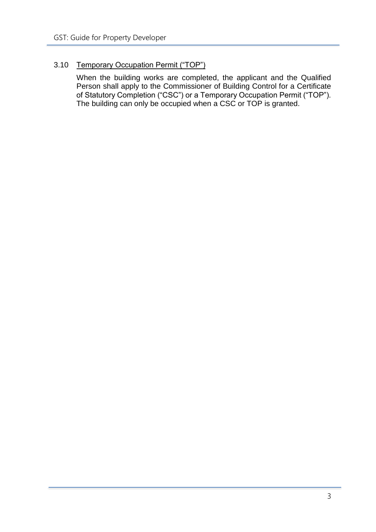# 3.10 Temporary Occupation Permit ("TOP")

When the building works are completed, the applicant and the Qualified Person shall apply to the Commissioner of Building Control for a Certificate of Statutory Completion ("CSC") or a Temporary Occupation Permit ("TOP"). The building can only be occupied when a CSC or TOP is granted.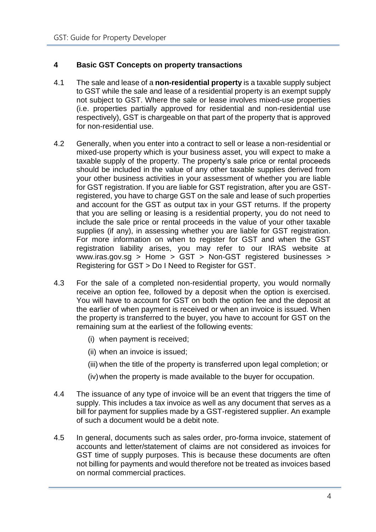# <span id="page-6-0"></span>**4 Basic GST Concepts on property transactions**

- 4.1 The sale and lease of a **non-residential property** is a taxable supply subject to GST while the sale and lease of a residential property is an exempt supply not subject to GST. Where the sale or lease involves mixed-use properties (i.e. properties partially approved for residential and non-residential use respectively), GST is chargeable on that part of the property that is approved for non-residential use.
- 4.2 Generally, when you enter into a contract to sell or lease a non-residential or mixed-use property which is your business asset, you will expect to make a taxable supply of the property. The property's sale price or rental proceeds should be included in the value of any other taxable supplies derived from your other business activities in your assessment of whether you are liable for GST registration. If you are liable for GST registration, after you are GSTregistered, you have to charge GST on the sale and lease of such properties and account for the GST as output tax in your GST returns. If the property that you are selling or leasing is a residential property, you do not need to include the sale price or rental proceeds in the value of your other taxable supplies (if any), in assessing whether you are liable for GST registration. For more information on when to register for GST and when the GST registration liability arises, you may refer to our IRAS website at www.iras.gov.sg > Home > GST > Non-GST registered businesses > Registering for GST > Do I Need to Register for GST.
- 4.3 For the sale of a completed non-residential property, you would normally receive an option fee, followed by a deposit when the option is exercised. You will have to account for GST on both the option fee and the deposit at the earlier of when payment is received or when an invoice is issued. When the property is transferred to the buyer, you have to account for GST on the remaining sum at the earliest of the following events:
	- (i) when payment is received;
	- (ii) when an invoice is issued;
	- (iii) when the title of the property is transferred upon legal completion; or
	- (iv) when the property is made available to the buyer for occupation.
- 4.4 The issuance of any type of invoice will be an event that triggers the time of supply. This includes a tax invoice as well as any document that serves as a bill for payment for supplies made by a GST-registered supplier. An example of such a document would be a debit note.
- 4.5 In general, documents such as sales order, pro-forma invoice, statement of accounts and letter/statement of claims are not considered as invoices for GST time of supply purposes. This is because these documents are often not billing for payments and would therefore not be treated as invoices based on normal commercial practices.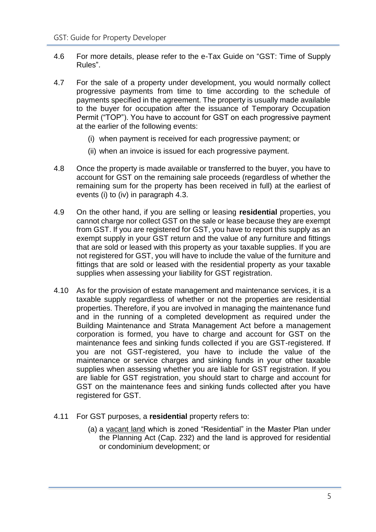- 4.6 For more details, please refer to the e-Tax Guide on "GST: Time of Supply Rules".
- 4.7 For the sale of a property under development, you would normally collect progressive payments from time to time according to the schedule of payments specified in the agreement. The property is usually made available to the buyer for occupation after the issuance of Temporary Occupation Permit ("TOP"). You have to account for GST on each progressive payment at the earlier of the following events:
	- (i) when payment is received for each progressive payment; or
	- (ii) when an invoice is issued for each progressive payment.
- 4.8 Once the property is made available or transferred to the buyer, you have to account for GST on the remaining sale proceeds (regardless of whether the remaining sum for the property has been received in full) at the earliest of events (i) to (iv) in paragraph 4.3.
- 4.9 On the other hand, if you are selling or leasing **residential** properties, you cannot charge nor collect GST on the sale or lease because they are exempt from GST. If you are registered for GST, you have to report this supply as an exempt supply in your GST return and the value of any furniture and fittings that are sold or leased with this property as your taxable supplies. If you are not registered for GST, you will have to include the value of the furniture and fittings that are sold or leased with the residential property as your taxable supplies when assessing your liability for GST registration.
- 4.10 As for the provision of estate management and maintenance services, it is a taxable supply regardless of whether or not the properties are residential properties. Therefore, if you are involved in managing the maintenance fund and in the running of a completed development as required under the Building Maintenance and Strata Management Act before a management corporation is formed, you have to charge and account for GST on the maintenance fees and sinking funds collected if you are GST-registered. If you are not GST-registered, you have to include the value of the maintenance or service charges and sinking funds in your other taxable supplies when assessing whether you are liable for GST registration. If you are liable for GST registration, you should start to charge and account for GST on the maintenance fees and sinking funds collected after you have registered for GST.
- 4.11 For GST purposes, a **residential** property refers to:
	- (a) a vacant land which is zoned "Residential" in the Master Plan under the Planning Act (Cap. 232) and the land is approved for residential or condominium development; or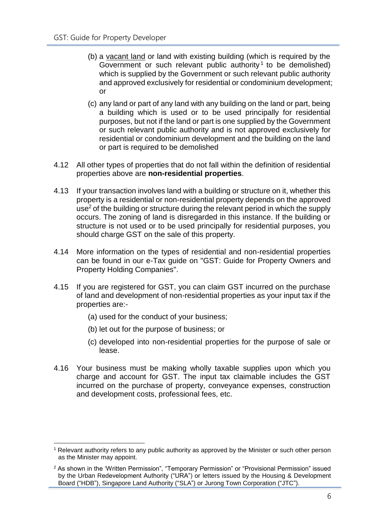- (b) a vacant land or land with existing building (which is required by the Government or such relevant public authority<sup>1</sup> to be demolished) which is supplied by the Government or such relevant public authority and approved exclusively for residential or condominium development; or
- (c) any land or part of any land with any building on the land or part, being a building which is used or to be used principally for residential purposes, but not if the land or part is one supplied by the Government or such relevant public authority and is not approved exclusively for residential or condominium development and the building on the land or part is required to be demolished
- 4.12 All other types of properties that do not fall within the definition of residential properties above are **non-residential properties**.
- 4.13 If your transaction involves land with a building or structure on it, whether this property is a residential or non-residential property depends on the approved use<sup>2</sup> of the building or structure during the relevant period in which the supply occurs. The zoning of land is disregarded in this instance. If the building or structure is not used or to be used principally for residential purposes, you should charge GST on the sale of this property.
- 4.14 More information on the types of residential and non-residential properties can be found in our e-Tax guide on "GST: Guide for Property Owners and Property Holding Companies".
- 4.15 If you are registered for GST, you can claim GST incurred on the purchase of land and development of non-residential properties as your input tax if the properties are:-
	- (a) used for the conduct of your business;
	- (b) let out for the purpose of business; or

<u>.</u>

- (c) developed into non-residential properties for the purpose of sale or lease.
- 4.16 Your business must be making wholly taxable supplies upon which you charge and account for GST. The input tax claimable includes the GST incurred on the purchase of property, conveyance expenses, construction and development costs, professional fees, etc.

<sup>1</sup> Relevant authority refers to any public authority as approved by the Minister or such other person as the Minister may appoint.

<sup>&</sup>lt;sup>2</sup> As shown in the 'Written Permission", "Temporary Permission" or "Provisional Permission" issued by the Urban Redevelopment Authority ("URA") or letters issued by the Housing & Development Board ("HDB"), Singapore Land Authority ("SLA") or Jurong Town Corporation ("JTC").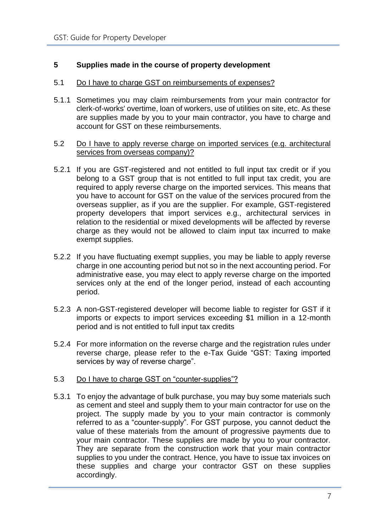# <span id="page-9-0"></span>**5 Supplies made in the course of property development**

#### 5.1 Do I have to charge GST on reimbursements of expenses?

5.1.1 Sometimes you may claim reimbursements from your main contractor for clerk-of-works' overtime, loan of workers, use of utilities on site, etc. As these are supplies made by you to your main contractor, you have to charge and account for GST on these reimbursements.

#### 5.2 Do I have to apply reverse charge on imported services (e.g. architectural services from overseas company)?

- 5.2.1 If you are GST-registered and not entitled to full input tax credit or if you belong to a GST group that is not entitled to full input tax credit, you are required to apply reverse charge on the imported services. This means that you have to account for GST on the value of the services procured from the overseas supplier, as if you are the supplier. For example, GST-registered property developers that import services e.g., architectural services in relation to the residential or mixed developments will be affected by reverse charge as they would not be allowed to claim input tax incurred to make exempt supplies.
- 5.2.2 If you have fluctuating exempt supplies, you may be liable to apply reverse charge in one accounting period but not so in the next accounting period. For administrative ease, you may elect to apply reverse charge on the imported services only at the end of the longer period, instead of each accounting period.
- 5.2.3 A non-GST-registered developer will become liable to register for GST if it imports or expects to import services exceeding \$1 million in a 12-month period and is not entitled to full input tax credits
- 5.2.4 For more information on the reverse charge and the registration rules under reverse charge, please refer to the e-Tax Guide "GST: Taxing imported services by way of reverse charge".

#### 5.3 Do I have to charge GST on "counter-supplies"?

5.3.1 To enjoy the advantage of bulk purchase, you may buy some materials such as cement and steel and supply them to your main contractor for use on the project. The supply made by you to your main contractor is commonly referred to as a "counter-supply". For GST purpose, you cannot deduct the value of these materials from the amount of progressive payments due to your main contractor. These supplies are made by you to your contractor. They are separate from the construction work that your main contractor supplies to you under the contract. Hence, you have to issue tax invoices on these supplies and charge your contractor GST on these supplies accordingly.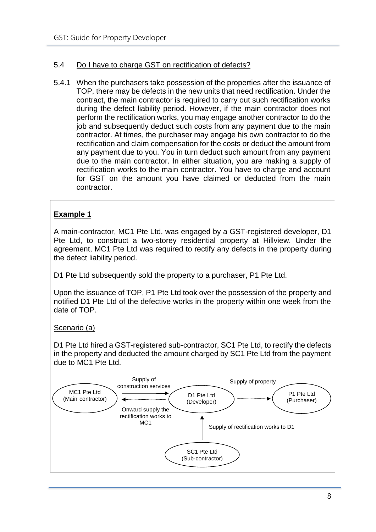# 5.4 Do I have to charge GST on rectification of defects?

5.4.1 When the purchasers take possession of the properties after the issuance of TOP, there may be defects in the new units that need rectification. Under the contract, the main contractor is required to carry out such rectification works during the defect liability period. However, if the main contractor does not perform the rectification works, you may engage another contractor to do the job and subsequently deduct such costs from any payment due to the main contractor. At times, the purchaser may engage his own contractor to do the rectification and claim compensation for the costs or deduct the amount from any payment due to you. You in turn deduct such amount from any payment due to the main contractor. In either situation, you are making a supply of rectification works to the main contractor. You have to charge and account for GST on the amount you have claimed or deducted from the main contractor.

# **Example 1**

A main-contractor, MC1 Pte Ltd, was engaged by a GST-registered developer, D1 Pte Ltd, to construct a two-storey residential property at Hillview. Under the agreement, MC1 Pte Ltd was required to rectify any defects in the property during the defect liability period.

D1 Pte Ltd subsequently sold the property to a purchaser, P1 Pte Ltd.

Upon the issuance of TOP, P1 Pte Ltd took over the possession of the property and notified D1 Pte Ltd of the defective works in the property within one week from the date of TOP.

#### Scenario (a)

D1 Pte Ltd hired a GST-registered sub-contractor, SC1 Pte Ltd, to rectify the defects in the property and deducted the amount charged by SC1 Pte Ltd from the payment due to MC1 Pte Ltd.

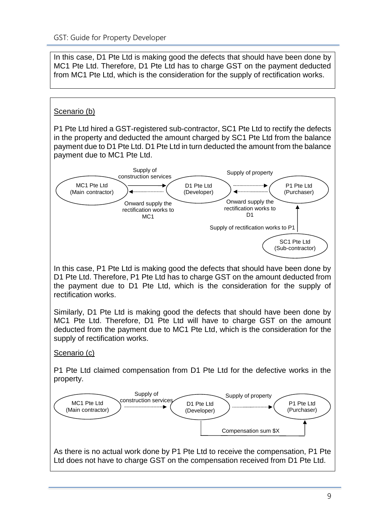In this case, D1 Pte Ltd is making good the defects that should have been done by MC1 Pte Ltd. Therefore, D1 Pte Ltd has to charge GST on the payment deducted from MC1 Pte Ltd, which is the consideration for the supply of rectification works.

# Scenario (b)

P1 Pte Ltd hired a GST-registered sub-contractor, SC1 Pte Ltd to rectify the defects in the property and deducted the amount charged by SC1 Pte Ltd from the balance payment due to D1 Pte Ltd. D1 Pte Ltd in turn deducted the amount from the balance payment due to MC1 Pte Ltd.



In this case, P1 Pte Ltd is making good the defects that should have been done by D1 Pte Ltd. Therefore, P1 Pte Ltd has to charge GST on the amount deducted from the payment due to D1 Pte Ltd, which is the consideration for the supply of rectification works.

Similarly, D1 Pte Ltd is making good the defects that should have been done by MC1 Pte Ltd. Therefore, D1 Pte Ltd will have to charge GST on the amount deducted from the payment due to MC1 Pte Ltd, which is the consideration for the supply of rectification works.

# Scenario (c)

P1 Pte Ltd claimed compensation from D1 Pte Ltd for the defective works in the property.

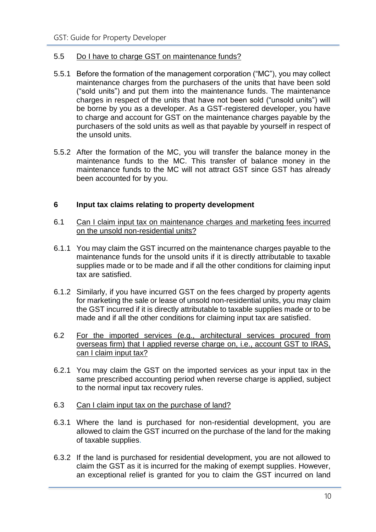#### 5.5 Do I have to charge GST on maintenance funds?

- 5.5.1 Before the formation of the management corporation ("MC"), you may collect maintenance charges from the purchasers of the units that have been sold ("sold units") and put them into the maintenance funds. The maintenance charges in respect of the units that have not been sold ("unsold units") will be borne by you as a developer. As a GST-registered developer, you have to charge and account for GST on the maintenance charges payable by the purchasers of the sold units as well as that payable by yourself in respect of the unsold units.
- 5.5.2 After the formation of the MC, you will transfer the balance money in the maintenance funds to the MC. This transfer of balance money in the maintenance funds to the MC will not attract GST since GST has already been accounted for by you.

#### <span id="page-12-0"></span>**6 Input tax claims relating to property development**

- 6.1 Can I claim input tax on maintenance charges and marketing fees incurred on the unsold non-residential units?
- 6.1.1 You may claim the GST incurred on the maintenance charges payable to the maintenance funds for the unsold units if it is directly attributable to taxable supplies made or to be made and if all the other conditions for claiming input tax are satisfied.
- 6.1.2 Similarly, if you have incurred GST on the fees charged by property agents for marketing the sale or lease of unsold non-residential units, you may claim the GST incurred if it is directly attributable to taxable supplies made or to be made and if all the other conditions for claiming input tax are satisfied.
- 6.2 For the imported services (e.g., architectural services procured from overseas firm) that I applied reverse charge on, i.e., account GST to IRAS, can I claim input tax?
- 6.2.1 You may claim the GST on the imported services as your input tax in the same prescribed accounting period when reverse charge is applied, subject to the normal input tax recovery rules.
- 6.3 Can I claim input tax on the purchase of land?
- 6.3.1 Where the land is purchased for non-residential development, you are allowed to claim the GST incurred on the purchase of the land for the making of taxable supplies.
- 6.3.2 If the land is purchased for residential development, you are not allowed to claim the GST as it is incurred for the making of exempt supplies. However, an exceptional relief is granted for you to claim the GST incurred on land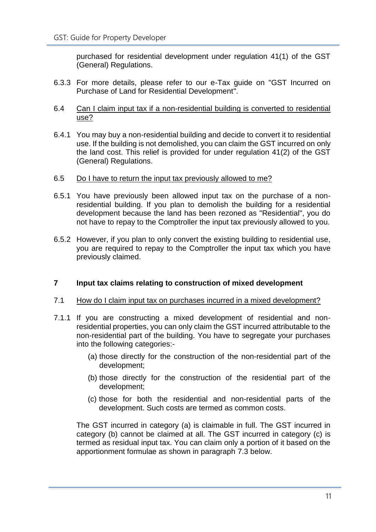purchased for residential development under regulation 41(1) of the GST (General) Regulations.

- 6.3.3 For more details, please refer to our e-Tax guide on "GST Incurred on Purchase of Land for Residential Development".
- 6.4 Can I claim input tax if a non-residential building is converted to residential use?
- 6.4.1 You may buy a non-residential building and decide to convert it to residential use. If the building is not demolished, you can claim the GST incurred on only the land cost. This relief is provided for under regulation 41(2) of the GST (General) Regulations.
- 6.5 Do I have to return the input tax previously allowed to me?
- 6.5.1 You have previously been allowed input tax on the purchase of a nonresidential building. If you plan to demolish the building for a residential development because the land has been rezoned as "Residential", you do not have to repay to the Comptroller the input tax previously allowed to you.
- 6.5.2 However, if you plan to only convert the existing building to residential use, you are required to repay to the Comptroller the input tax which you have previously claimed.

#### <span id="page-13-0"></span>**7 Input tax claims relating to construction of mixed development**

- 7.1 How do I claim input tax on purchases incurred in a mixed development?
- 7.1.1 If you are constructing a mixed development of residential and nonresidential properties, you can only claim the GST incurred attributable to the non-residential part of the building. You have to segregate your purchases into the following categories:-
	- (a) those directly for the construction of the non-residential part of the development;
	- (b) those directly for the construction of the residential part of the development;
	- (c) those for both the residential and non-residential parts of the development. Such costs are termed as common costs.

The GST incurred in category (a) is claimable in full. The GST incurred in category (b) cannot be claimed at all. The GST incurred in category (c) is termed as residual input tax. You can claim only a portion of it based on the apportionment formulae as shown in paragraph 7.3 below.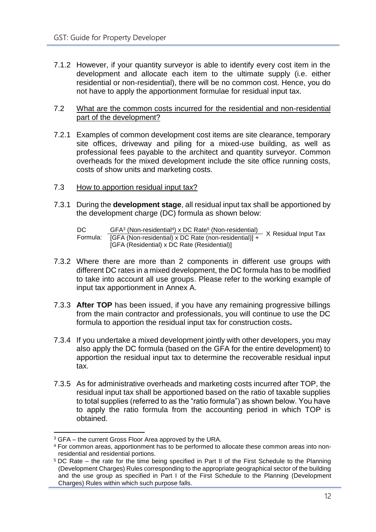7.1.2 However, if your quantity surveyor is able to identify every cost item in the development and allocate each item to the ultimate supply (i.e. either residential or non-residential), there will be no common cost. Hence, you do not have to apply the apportionment formulae for residual input tax.

#### 7.2 What are the common costs incurred for the residential and non-residential part of the development?

- 7.2.1 Examples of common development cost items are site clearance, temporary site offices, driveway and piling for a mixed-use building, as well as professional fees payable to the architect and quantity surveyor. Common overheads for the mixed development include the site office running costs, costs of show units and marketing costs.
- 7.3 How to apportion residual input tax?
- 7.3.1 During the **development stage**, all residual input tax shall be apportioned by the development charge (DC) formula as shown below:

- 7.3.2 Where there are more than 2 components in different use groups with different DC rates in a mixed development, the DC formula has to be modified to take into account all use groups. Please refer to the working example of input tax apportionment in Annex A.
- 7.3.3 **After TOP** has been issued, if you have any remaining progressive billings from the main contractor and professionals, you will continue to use the DC formula to apportion the residual input tax for construction costs**.**
- 7.3.4 If you undertake a mixed development jointly with other developers, you may also apply the DC formula (based on the GFA for the entire development) to apportion the residual input tax to determine the recoverable residual input tax.
- 7.3.5 As for administrative overheads and marketing costs incurred after TOP, the residual input tax shall be apportioned based on the ratio of taxable supplies to total supplies (referred to as the "ratio formula") as shown below. You have to apply the ratio formula from the accounting period in which TOP is obtained.

DC DC <u>GFA<sup>3</sup> (Non-residential<sup>4</sup>) x DC Rate<sup>5</sup> (Non-residential) </u> X Residual Input Tax<br>Formula: [GFA (Non-residential) x DC Rate (non-residential)] + X Residual Input Tax  $GFA^3$  (Non-residential<sup>4</sup>) x DC Rate<sup>5</sup> [GFA (Residential) x DC Rate (Residential)]

<sup>1</sup> <sup>3</sup> GFA – the current Gross Floor Area approved by the URA.

<sup>4</sup> For common areas, apportionment has to be performed to allocate these common areas into nonresidential and residential portions.

<sup>5</sup> DC Rate – the rate for the time being specified in Part II of the First Schedule to the Planning (Development Charges) Rules corresponding to the appropriate geographical sector of the building and the use group as specified in Part I of the First Schedule to the Planning (Development Charges) Rules within which such purpose falls.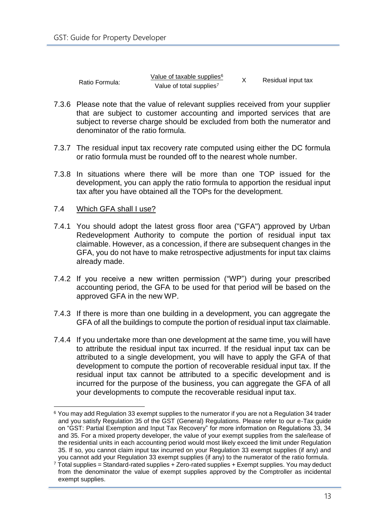|                | Value of taxable supplies <sup>6</sup> | Residual input tax |
|----------------|----------------------------------------|--------------------|
| Ratio Formula: | Value of total supplies <sup>7</sup>   |                    |

- 7.3.6 Please note that the value of relevant supplies received from your supplier that are subject to customer accounting and imported services that are subject to reverse charge should be excluded from both the numerator and denominator of the ratio formula.
- 7.3.7 The residual input tax recovery rate computed using either the DC formula or ratio formula must be rounded off to the nearest whole number.
- 7.3.8 In situations where there will be more than one TOP issued for the development, you can apply the ratio formula to apportion the residual input tax after you have obtained all the TOPs for the development.

#### 7.4 Which GFA shall I use?

- 7.4.1 You should adopt the latest gross floor area ("GFA") approved by Urban Redevelopment Authority to compute the portion of residual input tax claimable. However, as a concession, if there are subsequent changes in the GFA, you do not have to make retrospective adjustments for input tax claims already made.
- 7.4.2 If you receive a new written permission ("WP") during your prescribed accounting period, the GFA to be used for that period will be based on the approved GFA in the new WP.
- 7.4.3 If there is more than one building in a development, you can aggregate the GFA of all the buildings to compute the portion of residual input tax claimable.
- 7.4.4 If you undertake more than one development at the same time, you will have to attribute the residual input tax incurred. If the residual input tax can be attributed to a single development, you will have to apply the GFA of that development to compute the portion of recoverable residual input tax. If the residual input tax cannot be attributed to a specific development and is incurred for the purpose of the business, you can aggregate the GFA of all your developments to compute the recoverable residual input tax.

<sup>1</sup> <sup>6</sup> You may add Regulation 33 exempt supplies to the numerator if you are not a Regulation 34 trader and you satisfy Regulation 35 of the GST (General) Regulations. Please refer to our e-Tax guide on "GST: Partial Exemption and Input Tax Recovery" for more information on Regulations 33, 34 and 35. For a mixed property developer, the value of your exempt supplies from the sale/lease of the residential units in each accounting period would most likely exceed the limit under Regulation 35. If so, you cannot claim input tax incurred on your Regulation 33 exempt supplies (if any) and you cannot add your Regulation 33 exempt supplies (if any) to the numerator of the ratio formula.

 $7$  Total supplies = Standard-rated supplies + Zero-rated supplies + Exempt supplies. You may deduct from the denominator the value of exempt supplies approved by the Comptroller as incidental exempt supplies.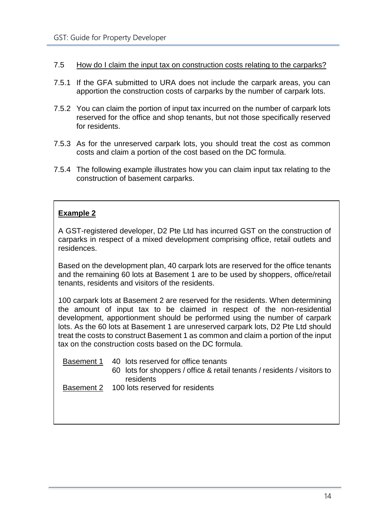- 7.5 How do I claim the input tax on construction costs relating to the carparks?
- 7.5.1 If the GFA submitted to URA does not include the carpark areas, you can apportion the construction costs of carparks by the number of carpark lots.
- 7.5.2 You can claim the portion of input tax incurred on the number of carpark lots reserved for the office and shop tenants, but not those specifically reserved for residents.
- 7.5.3 As for the unreserved carpark lots, you should treat the cost as common costs and claim a portion of the cost based on the DC formula.
- 7.5.4 The following example illustrates how you can claim input tax relating to the construction of basement carparks.

# **Example 2**

A GST-registered developer, D2 Pte Ltd has incurred GST on the construction of carparks in respect of a mixed development comprising office, retail outlets and residences.

Based on the development plan, 40 carpark lots are reserved for the office tenants and the remaining 60 lots at Basement 1 are to be used by shoppers, office/retail tenants, residents and visitors of the residents.

100 carpark lots at Basement 2 are reserved for the residents. When determining the amount of input tax to be claimed in respect of the non-residential development, apportionment should be performed using the number of carpark lots. As the 60 lots at Basement 1 are unreserved carpark lots, D2 Pte Ltd should treat the costs to construct Basement 1 as common and claim a portion of the input tax on the construction costs based on the DC formula.

Basement 1 40 lots reserved for office tenants

60 lots for shoppers / office & retail tenants / residents / visitors to residents

**Basement 2** 100 lots reserved for residents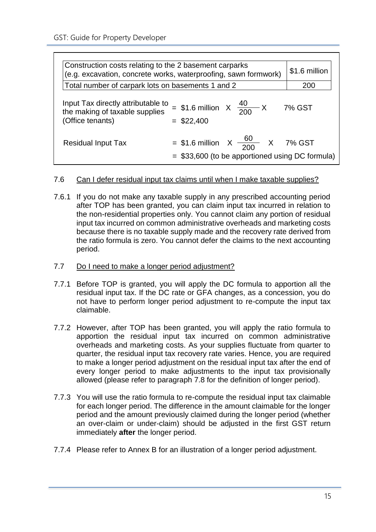| Construction costs relating to the 2 basement carparks                                   | (e.g. excavation, concrete works, waterproofing, sawn formwork)                                  | \$1.6 million |
|------------------------------------------------------------------------------------------|--------------------------------------------------------------------------------------------------|---------------|
| Total number of carpark lots on basements 1 and 2                                        |                                                                                                  | 200           |
| Input Tax directly attributable to<br>the making of taxable supplies<br>(Office tenants) | = \$1.6 million $X \frac{40}{200} X$ 7% GST<br>$=$ \$22,400                                      |               |
| Residual Input Tax                                                                       | = \$1.6 million $X \frac{60}{200}$ X 7% GST<br>$=$ \$33,600 (to be apportioned using DC formula) |               |

#### 7.6 Can I defer residual input tax claims until when I make taxable supplies?

- 7.6.1 If you do not make any taxable supply in any prescribed accounting period after TOP has been granted, you can claim input tax incurred in relation to the non-residential properties only. You cannot claim any portion of residual input tax incurred on common administrative overheads and marketing costs because there is no taxable supply made and the recovery rate derived from the ratio formula is zero. You cannot defer the claims to the next accounting period.
- 7.7 Do I need to make a longer period adjustment?
- 7.7.1 Before TOP is granted, you will apply the DC formula to apportion all the residual input tax. If the DC rate or GFA changes, as a concession, you do not have to perform longer period adjustment to re-compute the input tax claimable.
- 7.7.2 However, after TOP has been granted, you will apply the ratio formula to apportion the residual input tax incurred on common administrative overheads and marketing costs. As your supplies fluctuate from quarter to quarter, the residual input tax recovery rate varies. Hence, you are required to make a longer period adjustment on the residual input tax after the end of every longer period to make adjustments to the input tax provisionally allowed (please refer to paragraph 7.8 for the definition of longer period).
- 7.7.3 You will use the ratio formula to re-compute the residual input tax claimable for each longer period. The difference in the amount claimable for the longer period and the amount previously claimed during the longer period (whether an over-claim or under-claim) should be adjusted in the first GST return immediately **after** the longer period.
- 7.7.4 Please refer to Annex B for an illustration of a longer period adjustment.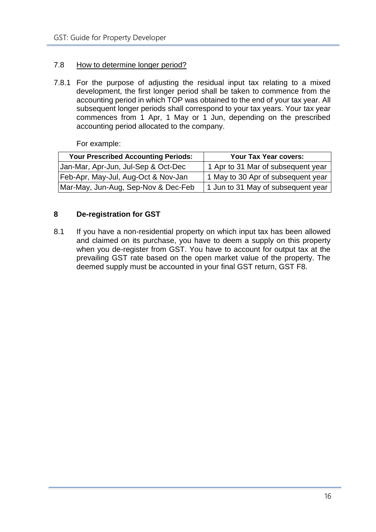## 7.8 How to determine longer period?

7.8.1 For the purpose of adjusting the residual input tax relating to a mixed development, the first longer period shall be taken to commence from the accounting period in which TOP was obtained to the end of your tax year. All subsequent longer periods shall correspond to your tax years. Your tax year commences from 1 Apr, 1 May or 1 Jun, depending on the prescribed accounting period allocated to the company.

For example:

| <b>Your Prescribed Accounting Periods:</b> | Your Tax Year covers:              |
|--------------------------------------------|------------------------------------|
| Jan-Mar, Apr-Jun, Jul-Sep & Oct-Dec        | 1 Apr to 31 Mar of subsequent year |
| Feb-Apr, May-Jul, Aug-Oct & Nov-Jan        | 1 May to 30 Apr of subsequent year |
| Mar-May, Jun-Aug, Sep-Nov & Dec-Feb        | 1 Jun to 31 May of subsequent year |

# <span id="page-18-0"></span>**8 De-registration for GST**

8.1 If you have a non-residential property on which input tax has been allowed and claimed on its purchase, you have to deem a supply on this property when you de-register from GST. You have to account for output tax at the prevailing GST rate based on the open market value of the property. The deemed supply must be accounted in your final GST return, GST F8.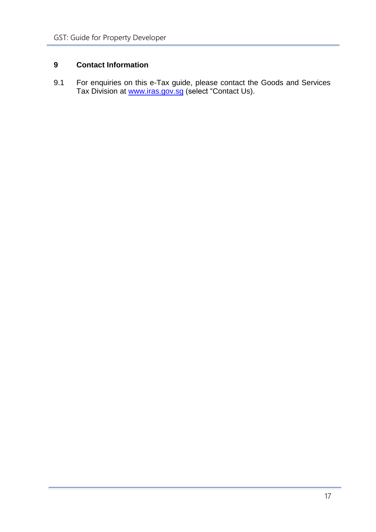# <span id="page-19-0"></span>**9 Contact Information**

9.1 For enquiries on this e-Tax guide, please contact the Goods and Services Tax Division at <u>[www.iras.gov.sg](http://www.iras.gov.sg/)</u> (select "Contact Us).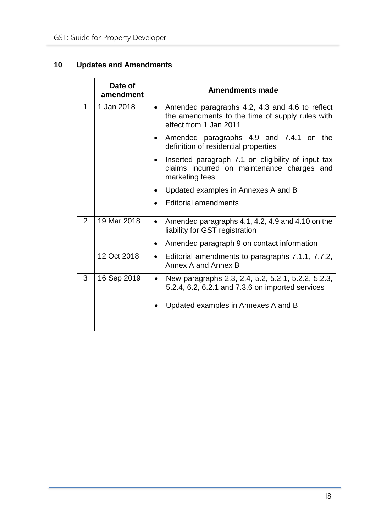# <span id="page-20-0"></span>**10 Updates and Amendments**

|                | Date of<br>amendment | <b>Amendments made</b>                                                                                                                                     |  |  |  |  |
|----------------|----------------------|------------------------------------------------------------------------------------------------------------------------------------------------------------|--|--|--|--|
| 1              | 1 Jan 2018           | Amended paragraphs 4.2, 4.3 and 4.6 to reflect<br>$\bullet$<br>the amendments to the time of supply rules with<br>effect from 1 Jan 2011                   |  |  |  |  |
|                |                      | Amended paragraphs 4.9 and 7.4.1 on the<br>definition of residential properties                                                                            |  |  |  |  |
|                |                      | Inserted paragraph 7.1 on eligibility of input tax<br>claims incurred on maintenance charges and<br>marketing fees                                         |  |  |  |  |
|                |                      | Updated examples in Annexes A and B                                                                                                                        |  |  |  |  |
|                |                      | <b>Editorial amendments</b>                                                                                                                                |  |  |  |  |
| $\overline{2}$ | 19 Mar 2018          | Amended paragraphs 4.1, 4.2, 4.9 and 4.10 on the<br>$\bullet$<br>liability for GST registration                                                            |  |  |  |  |
|                |                      | Amended paragraph 9 on contact information                                                                                                                 |  |  |  |  |
|                | 12 Oct 2018          | Editorial amendments to paragraphs 7.1.1, 7.7.2,<br>$\bullet$<br>Annex A and Annex B                                                                       |  |  |  |  |
| 3              | 16 Sep 2019          | New paragraphs 2.3, 2.4, 5.2, 5.2.1, 5.2.2, 5.2.3,<br>$\bullet$<br>5.2.4, 6.2, 6.2.1 and 7.3.6 on imported services<br>Updated examples in Annexes A and B |  |  |  |  |
|                |                      |                                                                                                                                                            |  |  |  |  |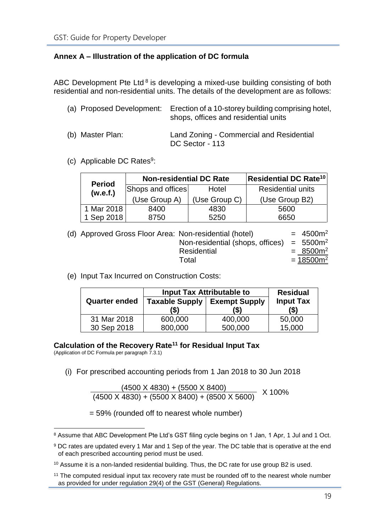# <span id="page-21-0"></span>**Annex A – Illustration of the application of DC formula**

ABC Development Pte Ltd  $8$  is developing a mixed-use building consisting of both residential and non-residential units. The details of the development are as follows:

|                  | (a) Proposed Development: Erection of a 10-storey building comprising hotel,<br>shops, offices and residential units |
|------------------|----------------------------------------------------------------------------------------------------------------------|
| (b) Master Plan: | Land Zoning - Commercial and Residential<br>DC Sector - 113                                                          |

(c) Applicable DC Rates<sup>9</sup>:

| <b>Period</b> | <b>Non-residential DC Rate</b> |               | Residential DC Rate <sup>10</sup> |
|---------------|--------------------------------|---------------|-----------------------------------|
| (w.e.f.)      | Shops and offices              | Hotel         | <b>Residential units</b>          |
|               | (Use Group A)                  | (Use Group C) | (Use Group B2)                    |
| 1 Mar 2018    | 8400                           | 4830          | 5600                              |
| Sep 2018      | 8750                           | 5250          | 6650                              |

| (d) Approved Gross Floor Area: Non-residential (hotel) |                                              | $= 4500m^2$  |
|--------------------------------------------------------|----------------------------------------------|--------------|
|                                                        | Non-residential (shops, offices) = $5500m^2$ |              |
|                                                        | Residential                                  | $= 8500m^2$  |
|                                                        | Total                                        | $= 18500m^2$ |

(e) Input Tax Incurred on Construction Costs:

|                      |                       | <b>Input Tax Attributable to</b> | <b>Residual</b>  |  |
|----------------------|-----------------------|----------------------------------|------------------|--|
| <b>Quarter ended</b> | <b>Taxable Supply</b> | <b>Exempt Supply</b>             | <b>Input Tax</b> |  |
|                      | '\$)                  | '\$)                             | $($)$            |  |
| 31 Mar 2018          | 600,000               | 400,000                          | 50,000           |  |
| 30 Sep 2018          | 800,000               | 500,000                          | 15,000           |  |

# **Calculation of the Recovery Rate<sup>11</sup> for Residual Input Tax**

(Application of DC Formula per paragraph 7.3.1)

1

(i) For prescribed accounting periods from 1 Jan 2018 to 30 Jun 2018

(4500 X 4830) + (5500 X 8400) X 100% (4500 X 4830) + (5500 X 8400) + (8500 X 5600)

= 59% (rounded off to nearest whole number)

<sup>8</sup> Assume that ABC Development Pte Ltd's GST filing cycle begins on 1 Jan, 1 Apr, 1 Jul and 1 Oct.

<sup>9</sup> DC rates are updated every 1 Mar and 1 Sep of the year. The DC table that is operative at the end of each prescribed accounting period must be used.

 $10$  Assume it is a non-landed residential building. Thus, the DC rate for use group B2 is used.

<sup>&</sup>lt;sup>11</sup> The computed residual input tax recovery rate must be rounded off to the nearest whole number as provided for under regulation 29(4) of the GST (General) Regulations.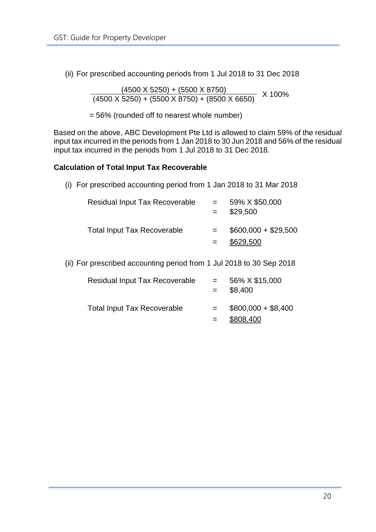(ii) For prescribed accounting periods from 1 Jul 2018 to 31 Dec 2018

 $(4500 \times 5250) + (5500 \times 8750)$  $\frac{1}{(4500 \text{ X } 5250) + (5500 \text{ X } 8750) + (8500 \text{ X } 6650)}$  X 100%

= 56% (rounded off to nearest whole number)

Based on the above, ABC Development Pte Ltd is allowed to claim 59% of the residual input tax incurred in the periods from 1 Jan 2018 to 30 Jun 2018 and 56% of the residual input tax incurred in the periods from 1 Jul 2018 to 31 Dec 2018.

#### **Calculation of Total Input Tax Recoverable**

(i) For prescribed accounting period from 1 Jan 2018 to 31 Mar 2018

| Residual Input Tax Recoverable     | $=$ | 59% X \$50,000<br>\$29,500        |
|------------------------------------|-----|-----------------------------------|
| <b>Total Input Tax Recoverable</b> |     | $$600,000 + $29,500$<br>\$629,500 |

(ii) For prescribed accounting period from 1 Jul 2018 to 30 Sep 2018

| <b>Residual Input Tax Recoverable</b> | $=$ | 56% X \$15,000<br>\$8,400        |
|---------------------------------------|-----|----------------------------------|
| <b>Total Input Tax Recoverable</b>    |     | $$800,000 + $8,400$<br>\$808,400 |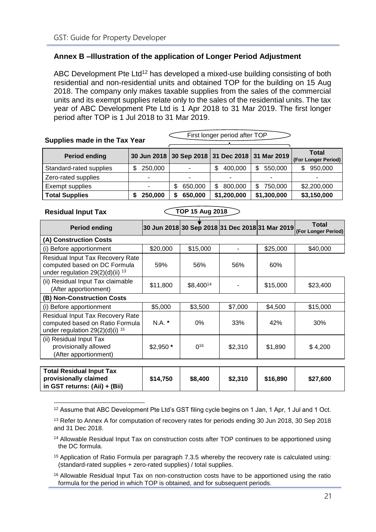# <span id="page-23-0"></span>**Annex B –Illustration of the application of Longer Period Adjustment**

ABC Development Pte Ltd<sup>12</sup> has developed a mixed-use building consisting of both residential and non-residential units and obtained TOP for the building on 15 Aug 2018. The company only makes taxable supplies from the sales of the commercial units and its exempt supplies relate only to the sales of the residential units. The tax year of ABC Development Pte Ltd is 1 Apr 2018 to 31 Mar 2019. The first longer period after TOP is 1 Jul 2018 to 31 Mar 2019.

| Supplies made in the Tax Year |                | First longer period after TOP                   |               |               |                              |
|-------------------------------|----------------|-------------------------------------------------|---------------|---------------|------------------------------|
| <b>Period ending</b>          |                | 30 Jun 2018 30 Sep 2018 31 Dec 2018 31 Mar 2019 |               |               | Total<br>(For Longer Period) |
| Standard-rated supplies       | 250,000<br>\$  |                                                 | 400,000<br>\$ | 550,000<br>\$ | 950,000<br>\$                |
| Zero-rated supplies           | $\blacksquare$ |                                                 | -             |               |                              |
| Exempt supplies               |                | 650,000<br>S                                    | 800,000<br>\$ | 750,000<br>S  | \$2,200,000                  |
| <b>Total Supplies</b>         | 250,000        | 650,000<br>S                                    | \$1,200,000   | \$1,300,000   | \$3,150,000                  |
|                               |                |                                                 |               |               |                              |

**Residual Input Tax** 

**in GST returns: (Aii) + (Bii)**

**TOP 15 Aug 2018**

| <b>Period ending</b>                                                                                                |           | 30 Jun 2018 30 Sep 2018 31 Dec 2018 31 Mar 2019 |         |          | Total<br>(For Longer Period) |  |
|---------------------------------------------------------------------------------------------------------------------|-----------|-------------------------------------------------|---------|----------|------------------------------|--|
| (A) Construction Costs                                                                                              |           |                                                 |         |          |                              |  |
| (i) Before apportionment                                                                                            | \$20,000  | \$15,000                                        | ٠       | \$25,000 | \$40,000                     |  |
| Residual Input Tax Recovery Rate<br>computed based on DC Formula<br>under regulation $29(2)(d)(ii)$ <sup>13</sup>   | 59%       | 56%                                             | 56%     | 60%      |                              |  |
| (ii) Residual Input Tax claimable<br>(After apportionment)                                                          | \$11,800  | \$8,40014                                       |         | \$15,000 | \$23,400                     |  |
| (B) Non-Construction Costs                                                                                          |           |                                                 |         |          |                              |  |
| (i) Before apportionment                                                                                            | \$5,000   | \$3,500                                         | \$7,000 | \$4,500  | \$15,000                     |  |
| Residual Input Tax Recovery Rate<br>computed based on Ratio Formula<br>under regulation $29(2)(d)(i)$ <sup>15</sup> | N.A.      | $0\%$                                           | 33%     | 42%      | 30%                          |  |
| (ii) Residual Input Tax<br>provisionally allowed<br>(After apportionment)                                           | $$2,950*$ | $0^{16}$                                        | \$2,310 | \$1,890  | \$4,200                      |  |
|                                                                                                                     |           |                                                 |         |          |                              |  |
| <b>Total Residual Input Tax</b><br>provisionally claimed                                                            | \$14,750  | \$8,400                                         | \$2,310 | \$16,890 | \$27,600                     |  |

1 <sup>12</sup> Assume that ABC Development Pte Ltd's GST filing cycle begins on 1 Jan, 1 Apr, 1 Jul and 1 Oct.

<sup>14</sup> Allowable Residual Input Tax on construction costs after TOP continues to be apportioned using the DC formula.

<sup>15</sup> Application of Ratio Formula per paragraph 7.3.5 whereby the recovery rate is calculated using: (standard-rated supplies + zero-rated supplies) / total supplies.

<sup>16</sup> Allowable Residual Input Tax on non-construction costs have to be apportioned using the ratio formula for the period in which TOP is obtained, and for subsequent periods.

<sup>&</sup>lt;sup>13</sup> Refer to Annex A for computation of recovery rates for periods ending 30 Jun 2018, 30 Sep 2018 and 31 Dec 2018.